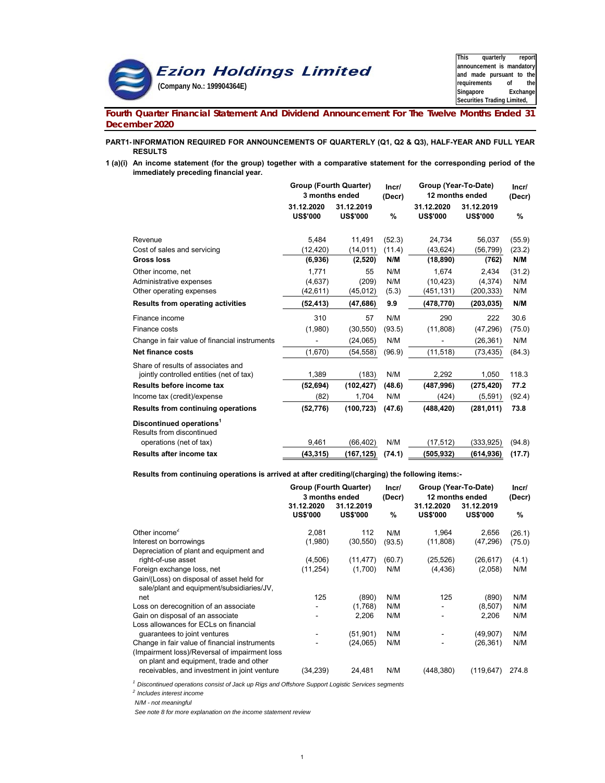

**This quarterly report announcement is mandatory and made pursuant to the requirements of the** Exchange **Securities Trading Limited,** 

**Fourth Quarter Financial Statement And Dividend Announcement For The Twelve Months Ended 31 December 2020**

#### **PART1- INFORMATION REQUIRED FOR ANNOUNCEMENTS OF QUARTERLY (Q1, Q2 & Q3), HALF-YEAR AND FULL YEAR RESULTS**

**1 (a)(i) An income statement (for the group) together with a comparative statement for the corresponding period of the immediately preceding financial year.**

|                                                                   | <b>Group (Fourth Quarter)</b><br>3 months ended |                               | Incr/<br>(Decr) | Group (Year-To-Date)<br>12 months ended |                               |        |  |
|-------------------------------------------------------------------|-------------------------------------------------|-------------------------------|-----------------|-----------------------------------------|-------------------------------|--------|--|
|                                                                   | 31.12.2020<br><b>US\$'000</b>                   | 31.12.2019<br><b>US\$'000</b> | %               | 31.12.2020<br><b>US\$'000</b>           | 31.12.2019<br><b>US\$'000</b> | %      |  |
| Revenue                                                           | 5.484                                           | 11,491                        | (52.3)          | 24,734                                  | 56,037                        | (55.9) |  |
| Cost of sales and servicing                                       | (12, 420)                                       | (14, 011)                     | (11.4)          | (43, 624)                               | (56,799)                      | (23.2) |  |
| <b>Gross loss</b>                                                 | (6,936)                                         | (2, 520)                      | N/M             | (18, 890)                               | (762)                         | N/M    |  |
| Other income, net                                                 | 1.771                                           | 55                            | N/M             | 1,674                                   | 2,434                         | (31.2) |  |
| Administrative expenses                                           | (4,637)                                         | (209)                         | N/M             | (10, 423)                               | (4,374)                       | N/M    |  |
| Other operating expenses                                          | (42, 611)                                       | (45, 012)                     | (5.3)           | (451, 131)                              | (200, 333)                    | N/M    |  |
| <b>Results from operating activities</b>                          | (52,413)                                        | (47, 686)                     | 9.9             | (478, 770)                              | (203, 035)                    | N/M    |  |
| Finance income                                                    | 310                                             | 57                            | N/M             | 290                                     | 222                           | 30.6   |  |
| Finance costs                                                     | (1,980)                                         | (30, 550)                     | (93.5)          | (11, 808)                               | (47, 296)                     | (75.0) |  |
| Change in fair value of financial instruments                     |                                                 | (24,065)                      | N/M             |                                         | (26, 361)                     | N/M    |  |
| <b>Net finance costs</b>                                          | (1,670)                                         | (54, 558)                     | (96.9)          | (11, 518)                               | (73, 435)                     | (84.3) |  |
| Share of results of associates and                                |                                                 |                               |                 |                                         |                               |        |  |
| jointly controlled entities (net of tax)                          | 1,389                                           | (183)                         | N/M             | 2,292                                   | 1,050                         | 118.3  |  |
| Results before income tax                                         | (52, 694)                                       | (102, 427)                    | (48.6)          | (487,996)                               | (275, 420)                    | 77.2   |  |
| Income tax (credit)/expense                                       | (82)                                            | 1,704                         | N/M             | (424)                                   | (5,591)                       | (92.4) |  |
| <b>Results from continuing operations</b>                         | (52, 776)                                       | (100, 723)                    | (47.6)          | (488, 420)                              | (281, 011)                    | 73.8   |  |
| Discontinued operations <sup>1</sup><br>Results from discontinued |                                                 |                               |                 |                                         |                               |        |  |
| operations (net of tax)                                           | 9,461                                           | (66, 402)                     | N/M             | (17,512)                                | (333, 925)                    | (94.8) |  |
| <b>Results after income tax</b>                                   | (43,315)                                        | (167,125)                     | (74.1)          | (505,932)                               | (614,936)                     | (17.7) |  |

**Results from continuing operations is arrived at after crediting/(charging) the following items:-**

|                                                                                          | Group (Fourth Quarter)<br>3 months ended |                               | Incr/<br>(Decr) | Group (Year-To-Date)<br>12 months ended |                               |        |
|------------------------------------------------------------------------------------------|------------------------------------------|-------------------------------|-----------------|-----------------------------------------|-------------------------------|--------|
|                                                                                          | 31.12.2020<br><b>US\$'000</b>            | 31.12.2019<br><b>US\$'000</b> | %               | 31.12.2020<br><b>US\$'000</b>           | 31.12.2019<br><b>US\$'000</b> | %      |
| Other income <sup>2</sup>                                                                | 2,081                                    | 112                           | N/M             | 1,964                                   | 2,656                         | (26.1) |
| Interest on borrowings                                                                   | (1,980)                                  | (30, 550)                     | (93.5)          | (11,808)                                | (47, 296)                     | (75.0) |
| Depreciation of plant and equipment and                                                  |                                          |                               |                 |                                         |                               |        |
| right-of-use asset                                                                       | (4,506)                                  | (11, 477)                     | (60.7)          | (25, 526)                               | (26, 617)                     | (4.1)  |
| Foreign exchange loss, net                                                               | (11, 254)                                | (1,700)                       | N/M             | (4,436)                                 | (2,058)                       | N/M    |
| Gain/(Loss) on disposal of asset held for<br>sale/plant and equipment/subsidiaries/JV,   |                                          |                               |                 |                                         |                               |        |
| net                                                                                      | 125                                      | (890)                         | N/M             | 125                                     | (890)                         | N/M    |
| Loss on derecognition of an associate                                                    |                                          | (1,768)                       | N/M             | $\overline{\phantom{a}}$                | (8,507)                       | N/M    |
| Gain on disposal of an associate                                                         |                                          | 2,206                         | N/M             | ۰                                       | 2,206                         | N/M    |
| Loss allowances for ECLs on financial                                                    |                                          |                               |                 |                                         |                               |        |
| guarantees to joint ventures                                                             |                                          | (51, 901)                     | N/M             |                                         | (49, 907)                     | N/M    |
| Change in fair value of financial instruments                                            |                                          | (24,065)                      | N/M             |                                         | (26, 361)                     | N/M    |
| (Impairment loss)/Reversal of impairment loss<br>on plant and equipment, trade and other |                                          |                               |                 |                                         |                               |        |
| receivables, and investment in joint venture                                             | (34,239)                                 | 24,481                        | N/M             | (448, 380)                              | (119, 647)                    | 274.8  |
|                                                                                          |                                          |                               |                 |                                         |                               |        |

*1 Discontinued operations consist of Jack up Rigs and Offshore Support Logistic Services segments*

*2 Includes interest income*

*N/M - not meaningful*

*See note 8 for more explanation on the income statement review*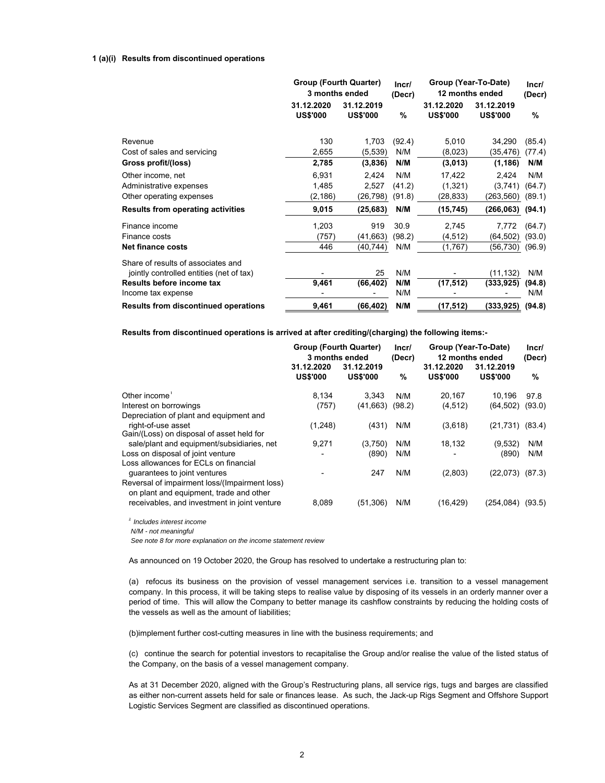#### **1 (a)(i) Results from discontinued operations**

|                                             | <b>Group (Fourth Quarter)</b><br>3 months ended |                               | Incr/  | Group (Year-To-Date)<br>12 months ended | Incr/                         |        |
|---------------------------------------------|-------------------------------------------------|-------------------------------|--------|-----------------------------------------|-------------------------------|--------|
|                                             |                                                 |                               | (Decr) |                                         |                               | (Decr) |
|                                             | 31.12.2020<br><b>US\$'000</b>                   | 31.12.2019<br><b>US\$'000</b> | %      | 31.12.2020<br><b>US\$'000</b>           | 31.12.2019<br><b>US\$'000</b> | $\%$   |
| Revenue                                     | 130                                             | 1,703                         | (92.4) | 5,010                                   | 34,290                        | (85.4) |
| Cost of sales and servicing                 | 2,655                                           | (5,539)                       | N/M    | (8,023)                                 | (35,476)                      | (77.4) |
| Gross profit/(loss)                         | 2,785                                           | (3,836)                       | N/M    | (3,013)                                 | (1, 186)                      | N/M    |
| Other income, net                           | 6,931                                           | 2,424                         | N/M    | 17,422                                  | 2,424                         | N/M    |
| Administrative expenses                     | 1,485                                           | 2,527                         | (41.2) | (1, 321)                                | (3,741)                       | (64.7) |
| Other operating expenses                    | (2, 186)                                        | (26,798)                      | (91.8) | (28,833)                                | (263,560)                     | (89.1) |
| <b>Results from operating activities</b>    | 9,015                                           | (25,683)                      | N/M    | (15,745)                                | (266, 063)                    | (94.1) |
| Finance income                              | 1,203                                           | 919                           | 30.9   | 2,745                                   | 7,772                         | (64.7) |
| Finance costs                               | (757)                                           | (41,663)                      | (98.2) | (4, 512)                                | (64, 502)                     | (93.0) |
| <b>Net finance costs</b>                    | 446                                             | (40,744)                      | N/M    | (1,767)                                 | (56,730)                      | (96.9) |
| Share of results of associates and          |                                                 |                               |        |                                         |                               |        |
| jointly controlled entities (net of tax)    |                                                 | 25                            | N/M    |                                         | (11, 132)                     | N/M    |
| Results before income tax                   | 9,461                                           | (66, 402)                     | N/M    | (17, 512)                               | (333,925)                     | (94.8) |
| Income tax expense                          |                                                 |                               | N/M    |                                         |                               | N/M    |
| <b>Results from discontinued operations</b> | 9,461                                           | (66,402)                      | N/M    | (17,512)                                | (333,925)                     | (94.8) |

**Results from discontinued operations is arrived at after crediting/(charging) the following items:-**

|                                                                                          | Group (Fourth Quarter)<br>3 months ended |                               | Incr/<br>(Decr) | Group (Year-To-Date)<br>12 months ended | Incr/<br>(Decr)               |        |
|------------------------------------------------------------------------------------------|------------------------------------------|-------------------------------|-----------------|-----------------------------------------|-------------------------------|--------|
|                                                                                          | 31.12.2020<br><b>US\$'000</b>            | 31.12.2019<br><b>US\$'000</b> | %               | 31.12.2020<br><b>US\$'000</b>           | 31.12.2019<br><b>US\$'000</b> | %      |
| Other income <sup>1</sup>                                                                | 8.134                                    | 3.343                         | N/M             | 20.167                                  | 10.196                        | 97.8   |
| Interest on borrowings                                                                   | (757)                                    | (41,663)                      | (98.2)          | (4, 512)                                | (64, 502)                     | (93.0) |
| Depreciation of plant and equipment and<br>right-of-use asset                            | (1,248)                                  | (431)                         | N/M             | (3,618)                                 | $(21,731)$ $(83.4)$           |        |
| Gain/(Loss) on disposal of asset held for<br>sale/plant and equipment/subsidiaries, net  | 9.271                                    | (3,750)                       | N/M             | 18,132                                  | (9,532)                       | N/M    |
| Loss on disposal of joint venture                                                        |                                          | (890)                         | N/M             |                                         | (890)                         | N/M    |
| Loss allowances for ECLs on financial<br>guarantees to joint ventures                    |                                          | 247                           | N/M             | (2,803)                                 | (22,073)                      | (87.3) |
| Reversal of impairment loss/(Impairment loss)<br>on plant and equipment, trade and other |                                          |                               |                 |                                         |                               |        |
| receivables, and investment in joint venture                                             | 8.089                                    | (51, 306)                     | N/M             | (16,429)                                | (254, 084)                    | (93.5) |

*<sup>1</sup> Includes interest income*

*N/M - not meaningful*

*See note 8 for more explanation on the income statement review*

As announced on 19 October 2020, the Group has resolved to undertake a restructuring plan to:

(a) refocus its business on the provision of vessel management services i.e. transition to a vessel management company. In this process, it will be taking steps to realise value by disposing of its vessels in an orderly manner over a period of time. This will allow the Company to better manage its cashflow constraints by reducing the holding costs of the vessels as well as the amount of liabilities;

(b)implement further cost-cutting measures in line with the business requirements; and

(c) continue the search for potential investors to recapitalise the Group and/or realise the value of the listed status of the Company, on the basis of a vessel management company.

As at 31 December 2020, aligned with the Group's Restructuring plans, all service rigs, tugs and barges are classified as either non-current assets held for sale or finances lease. As such, the Jack-up Rigs Segment and Offshore Support Logistic Services Segment are classified as discontinued operations.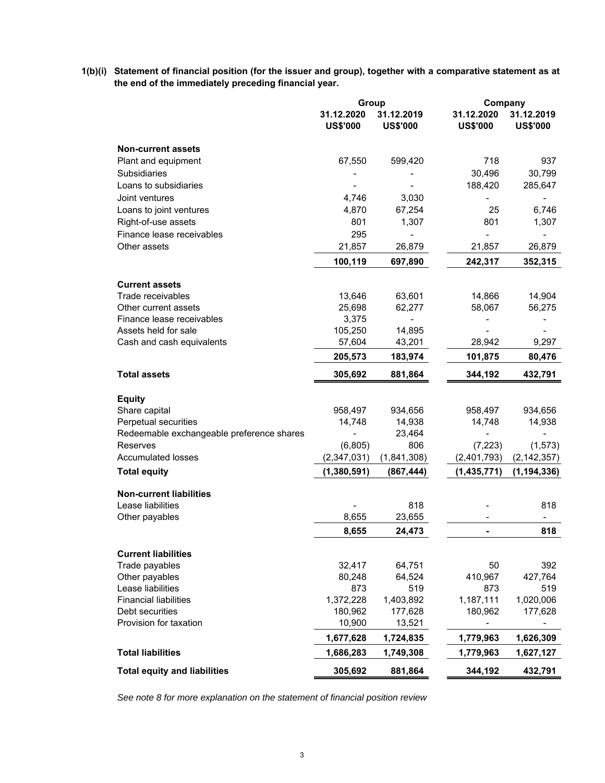**1(b)(i) Statement of financial position (for the issuer and group), together with a comparative statement as at the end of the immediately preceding financial year.**

|                                           | Group                         |                               | Company                       |                               |  |
|-------------------------------------------|-------------------------------|-------------------------------|-------------------------------|-------------------------------|--|
|                                           | 31.12.2020<br><b>US\$'000</b> | 31.12.2019<br><b>US\$'000</b> | 31.12.2020<br><b>US\$'000</b> | 31.12.2019<br><b>US\$'000</b> |  |
| <b>Non-current assets</b>                 |                               |                               |                               |                               |  |
| Plant and equipment                       | 67,550                        | 599,420                       | 718                           | 937                           |  |
| <b>Subsidiaries</b>                       |                               |                               | 30,496                        | 30,799                        |  |
| Loans to subsidiaries                     |                               |                               | 188,420                       | 285,647                       |  |
| Joint ventures                            | 4,746                         | 3,030                         |                               |                               |  |
| Loans to joint ventures                   | 4,870                         | 67,254                        | 25                            | 6,746                         |  |
| Right-of-use assets                       | 801                           | 1,307                         | 801                           | 1,307                         |  |
| Finance lease receivables                 | 295                           |                               | $\overline{\phantom{0}}$      |                               |  |
| Other assets                              | 21,857                        | 26,879                        | 21,857                        | 26,879                        |  |
|                                           | 100,119                       | 697,890                       | 242,317                       | 352,315                       |  |
| <b>Current assets</b>                     |                               |                               |                               |                               |  |
| Trade receivables                         | 13,646                        | 63,601                        | 14,866                        | 14,904                        |  |
| Other current assets                      | 25,698                        | 62,277                        | 58,067                        | 56,275                        |  |
| Finance lease receivables                 | 3,375                         |                               |                               |                               |  |
| Assets held for sale                      | 105,250                       | 14,895                        |                               |                               |  |
| Cash and cash equivalents                 | 57,604                        | 43,201                        | 28,942                        | 9,297                         |  |
|                                           | 205,573                       | 183,974                       | 101,875                       | 80,476                        |  |
| <b>Total assets</b>                       | 305,692                       | 881,864                       | 344,192                       | 432,791                       |  |
| <b>Equity</b>                             |                               |                               |                               |                               |  |
| Share capital                             | 958,497                       | 934,656                       | 958,497                       | 934,656                       |  |
| Perpetual securities                      | 14,748                        | 14,938                        | 14,748                        | 14,938                        |  |
| Redeemable exchangeable preference shares |                               | 23,464                        |                               |                               |  |
| <b>Reserves</b>                           | (6,805)                       | 806                           | (7, 223)                      | (1, 573)                      |  |
| <b>Accumulated losses</b>                 | (2, 347, 031)                 | (1,841,308)                   | (2,401,793)                   | (2, 142, 357)                 |  |
| <b>Total equity</b>                       | (1,380,591)                   | (867, 444)                    | (1,435,771)                   | (1, 194, 336)                 |  |
| <b>Non-current liabilities</b>            |                               |                               |                               |                               |  |
| Lease liabilities                         |                               | 818                           |                               | 818                           |  |
| Other payables                            | 8,655                         | 23,655                        |                               |                               |  |
|                                           |                               |                               |                               |                               |  |
|                                           | 8,655                         | 24,473                        |                               | 818                           |  |
| <b>Current liabilities</b>                |                               |                               |                               |                               |  |
| Trade payables                            | 32,417                        | 64,751                        | 50                            | 392                           |  |
| Other payables                            | 80,248                        | 64,524                        | 410,967                       | 427,764                       |  |
| Lease liabilities                         | 873                           | 519                           | 873                           | 519                           |  |
| <b>Financial liabilities</b>              | 1,372,228                     | 1,403,892                     | 1,187,111                     | 1,020,006                     |  |
| Debt securities                           | 180,962                       | 177,628                       | 180,962                       | 177,628                       |  |
| Provision for taxation                    | 10,900                        | 13,521                        |                               |                               |  |
|                                           | 1,677,628                     | 1,724,835                     | 1,779,963                     | 1,626,309                     |  |
| <b>Total liabilities</b>                  | 1,686,283                     | 1,749,308                     | 1,779,963                     | 1,627,127                     |  |
| <b>Total equity and liabilities</b>       | 305,692                       | 881,864                       | 344,192                       | 432,791                       |  |

*See note 8 for more explanation on the statement of financial position review*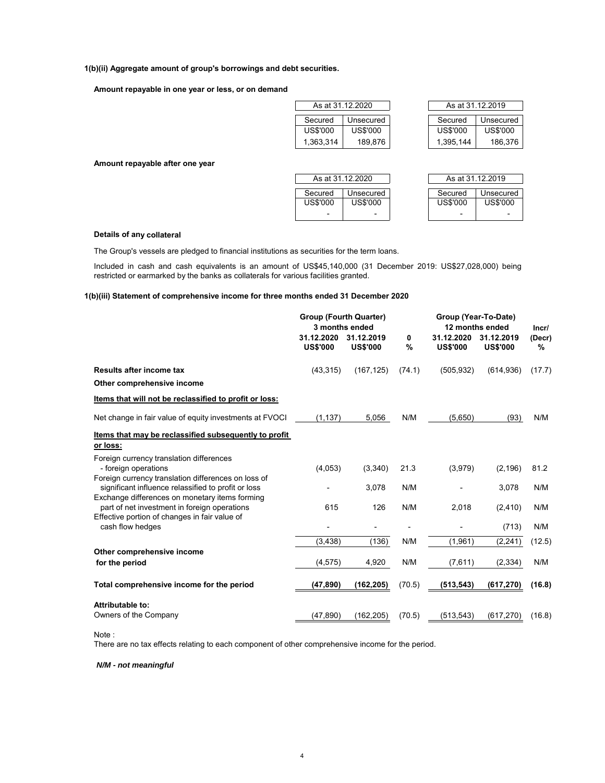# **1(b)(ii) Aggregate amount of group's borrowings and debt securities.**

# **Amount repayable in one year or less, or on demand**

|           | As at 31.12.2020 |           | As at 31.12.2019 |
|-----------|------------------|-----------|------------------|
| Secured   | Unsecured        | Secured   | Unsecured        |
| US\$'000  | US\$'000         | US\$'000  | US\$'000         |
| 1,363,314 | 189,876          | 1,395,144 | 186,376          |

**Amount repayable after one year**

| As at 31.12.2020                             |                            | As at 31.12.2019      |
|----------------------------------------------|----------------------------|-----------------------|
| Secured<br>Unsecured<br>US\$'000<br>US\$'000 | Secured<br><b>US\$'000</b> | Unsecured<br>US\$'000 |

| As at 31.12.2019 |           |  |  |  |  |  |
|------------------|-----------|--|--|--|--|--|
| Secured          | Unsecured |  |  |  |  |  |
| US\$'000         | US\$'000  |  |  |  |  |  |

# **Details of any collateral**

The Group's vessels are pledged to financial institutions as securities for the term loans.

Included in cash and cash equivalents is an amount of US\$45,140,000 (31 December 2019: US\$27,028,000) being restricted or earmarked by the banks as collaterals for various facilities granted.

# **1(b)(iii) Statement of comprehensive income for three months ended 31 December 2020**

|                                                                                                            | <b>Group (Fourth Quarter)</b><br>31.12.2020<br><b>US\$'000</b> | 3 months ended<br>31.12.2019<br><b>US\$'000</b> | 0<br>% | Group (Year-To-Date)<br>31.12.2020<br><b>US\$'000</b> | 12 months ended<br>31.12.2019<br><b>US\$'000</b> | Incr/<br>(Decr)<br>% |
|------------------------------------------------------------------------------------------------------------|----------------------------------------------------------------|-------------------------------------------------|--------|-------------------------------------------------------|--------------------------------------------------|----------------------|
| Results after income tax                                                                                   | (43, 315)                                                      | (167, 125)                                      | (74.1) | (505, 932)                                            | (614, 936)                                       | (17.7)               |
| Other comprehensive income                                                                                 |                                                                |                                                 |        |                                                       |                                                  |                      |
| Items that will not be reclassified to profit or loss:                                                     |                                                                |                                                 |        |                                                       |                                                  |                      |
| Net change in fair value of equity investments at FVOCI                                                    | (1, 137)                                                       | 5,056                                           | N/M    | (5,650)                                               | (93)                                             | N/M                  |
| Items that may be reclassified subsequently to profit                                                      |                                                                |                                                 |        |                                                       |                                                  |                      |
| or loss:                                                                                                   |                                                                |                                                 |        |                                                       |                                                  |                      |
| Foreign currency translation differences<br>- foreign operations                                           | (4,053)                                                        | (3,340)                                         | 21.3   | (3,979)                                               | (2, 196)                                         | 81.2                 |
| Foreign currency translation differences on loss of<br>significant influence relassified to profit or loss |                                                                | 3,078                                           | N/M    |                                                       | 3,078                                            | N/M                  |
| Exchange differences on monetary items forming<br>part of net investment in foreign operations             | 615                                                            | 126                                             | N/M    | 2,018                                                 | (2, 410)                                         | N/M                  |
| Effective portion of changes in fair value of<br>cash flow hedges                                          |                                                                |                                                 |        |                                                       | (713)                                            | N/M                  |
|                                                                                                            | (3, 438)                                                       | (136)                                           | N/M    | (1,961)                                               | (2, 241)                                         | (12.5)               |
| Other comprehensive income                                                                                 |                                                                |                                                 |        |                                                       |                                                  |                      |
| for the period                                                                                             | (4, 575)                                                       | 4,920                                           | N/M    | (7,611)                                               | (2, 334)                                         | N/M                  |
| Total comprehensive income for the period                                                                  | (47, 890)                                                      | (162, 205)                                      | (70.5) | (513, 543)                                            | (617, 270)                                       | (16.8)               |
| Attributable to:                                                                                           |                                                                |                                                 |        |                                                       |                                                  |                      |
| Owners of the Company                                                                                      | (47, 890)                                                      | (162, 205)                                      | (70.5) | (513, 543)                                            | (617.270)                                        | (16.8)               |

# Note :

There are no tax effects relating to each component of other comprehensive income for the period.

*N/M - not meaningful*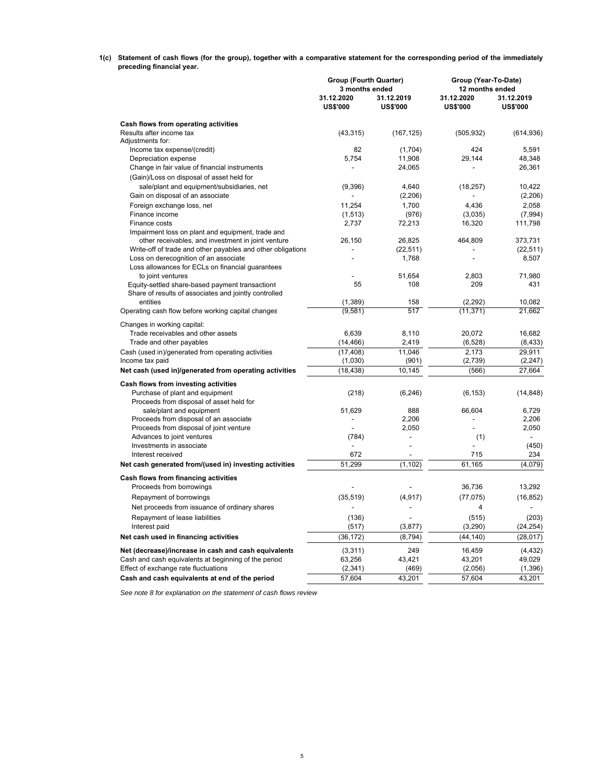**1(c) Statement of cash flows (for the group), together with a comparative statement for the corresponding period of the immediately preceding financial year.**

|                                                                                                          | <b>Group (Fourth Quarter)</b><br>3 months ended |                               | Group (Year-To-Date)<br>12 months ended |                               |  |
|----------------------------------------------------------------------------------------------------------|-------------------------------------------------|-------------------------------|-----------------------------------------|-------------------------------|--|
|                                                                                                          | 31.12.2020<br><b>US\$'000</b>                   | 31.12.2019<br><b>US\$'000</b> | 31.12.2020<br><b>US\$'000</b>           | 31.12.2019<br><b>US\$'000</b> |  |
| Cash flows from operating activities                                                                     |                                                 |                               |                                         |                               |  |
| Results after income tax<br>Adjustments for:                                                             | (43, 315)                                       | (167, 125)                    | (505, 932)                              | (614, 936)                    |  |
| Income tax expense/(credit)                                                                              | 82                                              | (1,704)                       | 424                                     | 5.591                         |  |
| Depreciation expense                                                                                     | 5,754                                           | 11,908                        | 29,144                                  | 48,348                        |  |
| Change in fair value of financial instruments                                                            |                                                 | 24,065                        |                                         | 26,361                        |  |
| (Gain)/Loss on disposal of asset held for                                                                |                                                 |                               |                                         |                               |  |
| sale/plant and equipment/subsidiaries, net                                                               | (9,396)                                         | 4,640                         | (18, 257)                               | 10,422                        |  |
| Gain on disposal of an associate                                                                         |                                                 | (2,206)                       |                                         | (2,206)                       |  |
| Foreign exchange loss, net                                                                               | 11.254                                          | 1.700                         | 4.436                                   | 2.058                         |  |
| Finance income                                                                                           | (1, 513)                                        | (976)                         | (3,035)                                 | (7,994)                       |  |
| Finance costs                                                                                            | 2,737                                           | 72,213                        | 16,320                                  | 111,798                       |  |
| Impairment loss on plant and equipment, trade and                                                        |                                                 |                               |                                         |                               |  |
| other receivables, and investment in joint venture                                                       | 26,150                                          | 26,825                        | 464,809                                 | 373,731                       |  |
| Write-off of trade and other payables and other obligations                                              | $\overline{a}$                                  | (22, 511)                     |                                         | (22, 511)                     |  |
| Loss on derecognition of an associate                                                                    |                                                 | 1,768                         | L,                                      | 8,507                         |  |
| Loss allowances for ECLs on financial quarantees                                                         |                                                 |                               |                                         |                               |  |
| to joint ventures                                                                                        | 55                                              | 51.654<br>108                 | 2.803<br>209                            | 71,980<br>431                 |  |
| Equity-settled share-based payment transactions<br>Share of results of associates and jointly controlled |                                                 |                               |                                         |                               |  |
| entities                                                                                                 | (1, 389)                                        | 158                           | (2, 292)                                | 10.082                        |  |
| Operating cash flow before working capital changes                                                       | (9,581)                                         | 517                           | (11, 371)                               | 21,662                        |  |
|                                                                                                          |                                                 |                               |                                         |                               |  |
| Changes in working capital:                                                                              |                                                 |                               |                                         |                               |  |
| Trade receivables and other assets                                                                       | 6,639                                           | 8.110                         | 20.072                                  | 16.682                        |  |
| Trade and other payables                                                                                 | (14, 466)                                       | 2,419                         | (6, 528)                                | (8, 433)                      |  |
| Cash (used in)/generated from operating activities                                                       | (17, 408)                                       | 11.046                        | 2.173                                   | 29.911                        |  |
| Income tax paid                                                                                          | (1,030)                                         | (901)                         | (2,739)                                 | (2, 247)                      |  |
| Net cash (used in)/generated from operating activities                                                   | (18, 438)                                       | 10,145                        | (566)                                   | 27,664                        |  |
| Cash flows from investing activities                                                                     |                                                 |                               |                                         |                               |  |
| Purchase of plant and equipment                                                                          | (218)                                           | (6, 246)                      | (6, 153)                                | (14, 848)                     |  |
| Proceeds from disposal of asset held for                                                                 |                                                 |                               |                                         |                               |  |
| sale/plant and equipment                                                                                 | 51,629                                          | 888                           | 66,604                                  | 6,729                         |  |
| Proceeds from disposal of an associate                                                                   |                                                 | 2,206                         |                                         | 2,206                         |  |
| Proceeds from disposal of joint venture                                                                  |                                                 | 2,050                         |                                         | 2,050                         |  |
| Advances to joint ventures                                                                               | (784)                                           | ÷,                            | (1)                                     | $\overline{a}$                |  |
| Investments in associate                                                                                 |                                                 | $\overline{a}$                |                                         | (450)                         |  |
| Interest received                                                                                        | 672                                             |                               | 715                                     | 234                           |  |
| Net cash generated from/(used in) investing activities                                                   | 51.299                                          | (1, 102)                      | 61,165                                  | (4,079)                       |  |
| Cash flows from financing activities                                                                     |                                                 |                               |                                         |                               |  |
| Proceeds from borrowings                                                                                 |                                                 |                               | 36,736                                  | 13,292                        |  |
| Repayment of borrowings                                                                                  | (35, 519)                                       | (4, 917)                      | (77, 075)                               | (16, 852)                     |  |
| Net proceeds from issuance of ordinary shares                                                            |                                                 |                               | 4                                       |                               |  |
| Repayment of lease liabilities                                                                           | (136)                                           |                               | (515)                                   | (203)                         |  |
| Interest paid                                                                                            | (517)                                           | (3, 877)                      | (3,290)                                 | (24, 254)                     |  |
| Net cash used in financing activities                                                                    | (36, 172)                                       | (8, 794)                      | (44, 140)                               | (28, 017)                     |  |
|                                                                                                          |                                                 |                               |                                         |                               |  |
| Net (decrease)/increase in cash and cash equivalents                                                     | (3,311)                                         | 249                           | 16,459                                  | (4, 432)                      |  |
| Cash and cash equivalents at beginning of the period                                                     | 63,256                                          | 43,421                        | 43,201                                  | 49,029                        |  |
| Effect of exchange rate fluctuations                                                                     | (2,341)                                         | (469)                         | (2,056)                                 | (1, 396)                      |  |
| Cash and cash equivalents at end of the period                                                           | 57,604                                          | 43,201                        | 57,604                                  | 43,201                        |  |

*See note 8 for explanation on the statement of cash flows review*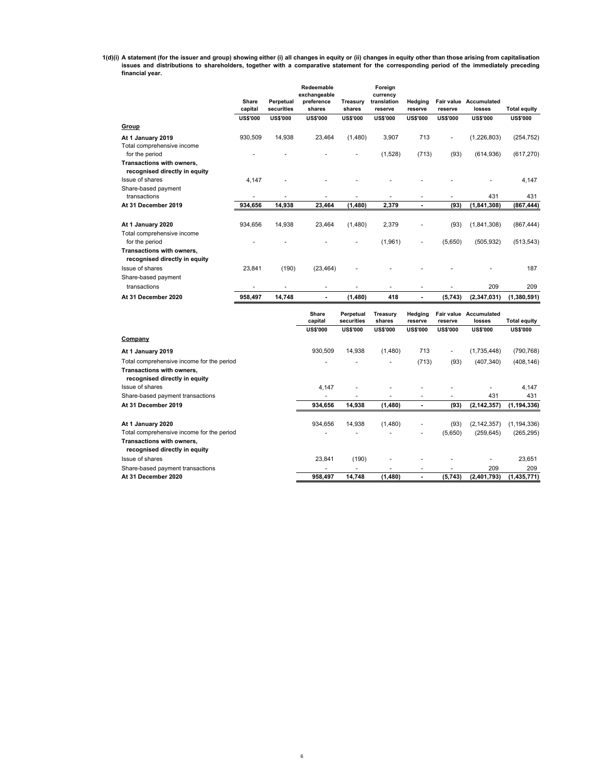**1(d)(i) A statement (for the issuer and group) showing either (i) all changes in equity or (ii) changes in equity other than those arising from capitalisation issues and distributions to shareholders, together with a comparative statement for the corresponding period of the immediately preceding financial year.**

|                                                                                                         | Share<br>capital | Perpetual<br>securities | Redeemable<br>exchangeable<br>preference<br>shares | Treasury<br>shares      | Foreign<br>currency<br>translation<br>reserve | Hedging<br>reserve | reserve         | Fair value Accumulated<br>losses        | <b>Total equity</b> |
|---------------------------------------------------------------------------------------------------------|------------------|-------------------------|----------------------------------------------------|-------------------------|-----------------------------------------------|--------------------|-----------------|-----------------------------------------|---------------------|
|                                                                                                         | <b>US\$'000</b>  | <b>US\$'000</b>         | <b>US\$'000</b>                                    | <b>US\$'000</b>         | <b>US\$'000</b>                               | <b>US\$'000</b>    | <b>US\$'000</b> | <b>US\$'000</b>                         | <b>US\$'000</b>     |
| Group                                                                                                   |                  |                         |                                                    |                         |                                               |                    |                 |                                         |                     |
| At 1 January 2019                                                                                       | 930,509          | 14,938                  | 23,464                                             | (1,480)                 | 3,907                                         | 713                | ä,              | (1,226,803)                             | (254, 752)          |
| Total comprehensive income                                                                              |                  |                         |                                                    |                         |                                               |                    |                 |                                         |                     |
| for the period                                                                                          |                  |                         |                                                    |                         | (1,528)                                       | (713)              | (93)            | (614, 936)                              | (617, 270)          |
| Transactions with owners,<br>recognised directly in equity                                              |                  |                         |                                                    |                         |                                               |                    |                 |                                         |                     |
| Issue of shares                                                                                         | 4,147            |                         |                                                    |                         |                                               |                    |                 |                                         | 4,147               |
| Share-based payment                                                                                     |                  |                         |                                                    |                         |                                               |                    |                 |                                         |                     |
| transactions                                                                                            | ٠                | 14,938                  |                                                    |                         | 2,379                                         | ٠<br>÷.            | ä,              | 431                                     | 431                 |
| At 31 December 2019                                                                                     | 934,656          |                         | 23,464                                             | (1, 480)                |                                               |                    | (93)            | (1, 841, 308)                           | (867, 444)          |
| At 1 January 2020                                                                                       | 934,656          | 14,938                  | 23,464                                             | (1,480)                 | 2,379                                         |                    | (93)            | (1,841,308)                             | (867, 444)          |
| Total comprehensive income                                                                              |                  |                         |                                                    |                         |                                               |                    |                 |                                         |                     |
| for the period                                                                                          |                  |                         |                                                    |                         | (1,961)                                       |                    | (5,650)         | (505, 932)                              | (513, 543)          |
| Transactions with owners,                                                                               |                  |                         |                                                    |                         |                                               |                    |                 |                                         |                     |
| recognised directly in equity                                                                           |                  |                         |                                                    |                         |                                               |                    |                 |                                         |                     |
| Issue of shares                                                                                         | 23,841           | (190)                   | (23, 464)                                          |                         |                                               |                    |                 |                                         | 187                 |
| Share-based payment                                                                                     |                  |                         |                                                    |                         |                                               |                    |                 |                                         |                     |
| transactions                                                                                            |                  |                         | ٠                                                  |                         |                                               | ä,                 |                 | 209                                     | 209                 |
| At 31 December 2020                                                                                     | 958,497          | 14,748                  |                                                    | (1,480)                 | 418                                           | Ĭ.                 | (5,743)         | (2, 347, 031)                           | (1,380,591)         |
|                                                                                                         |                  |                         | Share<br>capital                                   | Perpetual<br>securities | Treasury<br>shares                            | Hedging<br>reserve | reserve         | <b>Fair value</b> Accumulated<br>losses | <b>Total equity</b> |
|                                                                                                         |                  |                         | <b>US\$'000</b>                                    | <b>US\$'000</b>         | <b>US\$'000</b>                               | <b>US\$'000</b>    | <b>US\$'000</b> | <b>US\$'000</b>                         | <b>US\$'000</b>     |
| Company                                                                                                 |                  |                         |                                                    |                         |                                               |                    |                 |                                         |                     |
| At 1 January 2019                                                                                       |                  |                         | 930,509                                            | 14,938                  | (1,480)                                       | 713                |                 | (1,735,448)                             | (790, 768)          |
| Total comprehensive income for the period<br>Transactions with owners,<br>recognised directly in equity |                  |                         |                                                    |                         |                                               | (713)              | (93)            | (407, 340)                              | (408, 146)          |
| Issue of shares                                                                                         |                  |                         | 4.147                                              |                         |                                               |                    |                 |                                         | 4,147               |
| Share-based payment transactions                                                                        |                  |                         | ٠                                                  |                         |                                               | ä,                 | ٠               | 431                                     | 431                 |
| At 31 December 2019                                                                                     |                  |                         | 934,656                                            | 14,938                  | (1,480)                                       | $\blacksquare$     | (93)            | (2, 142, 357)                           | (1, 194, 336)       |
|                                                                                                         |                  |                         |                                                    |                         |                                               |                    |                 |                                         |                     |
| At 1 January 2020                                                                                       |                  |                         | 934,656                                            | 14,938                  | (1,480)                                       |                    | (93)            | (2, 142, 357)                           | (1, 194, 336)       |

| At 31 December 2020                       | 958.497 | 14.748 | (1.480) |                          | (5,743) | (2.401.793)   | (1.435.771)   |
|-------------------------------------------|---------|--------|---------|--------------------------|---------|---------------|---------------|
| Share-based payment transactions          | $\sim$  |        | -       | $\overline{a}$           | ۰       | 209           | 209           |
| Issue of shares                           | 23.841  | (190)  | -       | $\overline{\phantom{a}}$ | -       |               | 23.651        |
| recognised directly in equity             |         |        |         |                          |         |               |               |
| Transactions with owners,                 |         |        |         |                          |         |               |               |
| Total comprehensive income for the period | ۰       |        |         |                          | (5.650) | (259.645)     | (265, 295)    |
| At 1 January 2020                         | 934.656 | 14.938 | (1.480) | $\overline{a}$           | (93)    | (2, 142, 357) | (1, 194, 336) |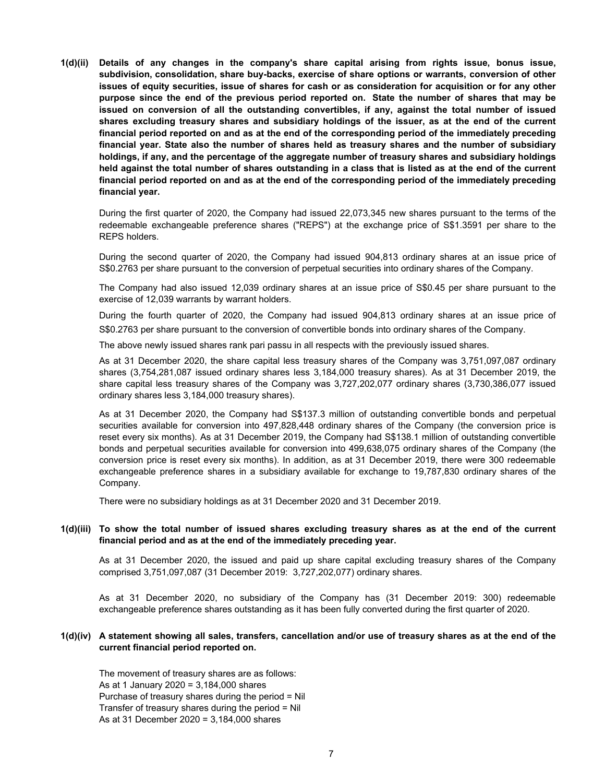**1(d)(ii) Details of any changes in the company's share capital arising from rights issue, bonus issue, subdivision, consolidation, share buy-backs, exercise of share options or warrants, conversion of other issues of equity securities, issue of shares for cash or as consideration for acquisition or for any other purpose since the end of the previous period reported on. State the number of shares that may be issued on conversion of all the outstanding convertibles, if any, against the total number of issued shares excluding treasury shares and subsidiary holdings of the issuer, as at the end of the current financial period reported on and as at the end of the corresponding period of the immediately preceding financial year. State also the number of shares held as treasury shares and the number of subsidiary holdings, if any, and the percentage of the aggregate number of treasury shares and subsidiary holdings held against the total number of shares outstanding in a class that is listed as at the end of the current financial period reported on and as at the end of the corresponding period of the immediately preceding financial year.**

During the first quarter of 2020, the Company had issued 22,073,345 new shares pursuant to the terms of the redeemable exchangeable preference shares ("REPS") at the exchange price of S\$1.3591 per share to the REPS holders.

During the second quarter of 2020, the Company had issued 904,813 ordinary shares at an issue price of S\$0.2763 per share pursuant to the conversion of perpetual securities into ordinary shares of the Company.

The Company had also issued 12,039 ordinary shares at an issue price of S\$0.45 per share pursuant to the exercise of 12,039 warrants by warrant holders.

During the fourth quarter of 2020, the Company had issued 904,813 ordinary shares at an issue price of S\$0.2763 per share pursuant to the conversion of convertible bonds into ordinary shares of the Company.

The above newly issued shares rank pari passu in all respects with the previously issued shares.

As at 31 December 2020, the share capital less treasury shares of the Company was 3,751,097,087 ordinary shares (3,754,281,087 issued ordinary shares less 3,184,000 treasury shares). As at 31 December 2019, the share capital less treasury shares of the Company was 3,727,202,077 ordinary shares (3,730,386,077 issued ordinary shares less 3,184,000 treasury shares).

As at 31 December 2020, the Company had S\$137.3 million of outstanding convertible bonds and perpetual securities available for conversion into 497,828,448 ordinary shares of the Company (the conversion price is reset every six months). As at 31 December 2019, the Company had S\$138.1 million of outstanding convertible bonds and perpetual securities available for conversion into 499,638,075 ordinary shares of the Company (the conversion price is reset every six months). In addition, as at 31 December 2019, there were 300 redeemable exchangeable preference shares in a subsidiary available for exchange to 19,787,830 ordinary shares of the Company.

There were no subsidiary holdings as at 31 December 2020 and 31 December 2019.

# **1(d)(iii) To show the total number of issued shares excluding treasury shares as at the end of the current financial period and as at the end of the immediately preceding year.**

As at 31 December 2020, the issued and paid up share capital excluding treasury shares of the Company comprised 3,751,097,087 (31 December 2019: 3,727,202,077) ordinary shares.

As at 31 December 2020, no subsidiary of the Company has (31 December 2019: 300) redeemable exchangeable preference shares outstanding as it has been fully converted during the first quarter of 2020.

# **1(d)(iv) A statement showing all sales, transfers, cancellation and/or use of treasury shares as at the end of the current financial period reported on.**

The movement of treasury shares are as follows: As at 1 January 2020 = 3,184,000 shares Purchase of treasury shares during the period = Nil Transfer of treasury shares during the period = Nil As at 31 December 2020 = 3,184,000 shares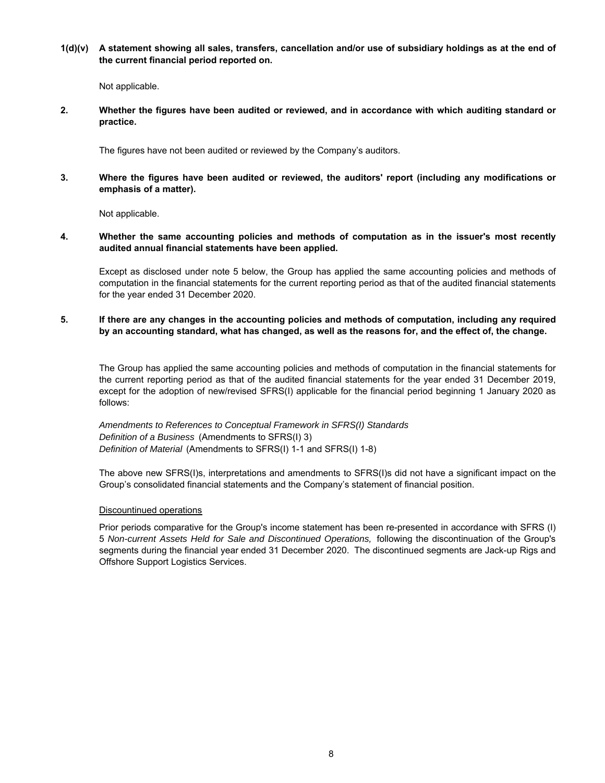**1(d)(v) A statement showing all sales, transfers, cancellation and/or use of subsidiary holdings as at the end of the current financial period reported on.**

Not applicable.

**2. Whether the figures have been audited or reviewed, and in accordance with which auditing standard or practice.**

The figures have not been audited or reviewed by the Company's auditors.

**3. Where the figures have been audited or reviewed, the auditors' report (including any modifications or emphasis of a matter).**

Not applicable.

**4. Whether the same accounting policies and methods of computation as in the issuer's most recently audited annual financial statements have been applied.**

Except as disclosed under note 5 below, the Group has applied the same accounting policies and methods of computation in the financial statements for the current reporting period as that of the audited financial statements for the year ended 31 December 2020.

**5. If there are any changes in the accounting policies and methods of computation, including any required by an accounting standard, what has changed, as well as the reasons for, and the effect of, the change.**

The Group has applied the same accounting policies and methods of computation in the financial statements for the current reporting period as that of the audited financial statements for the year ended 31 December 2019, except for the adoption of new/revised SFRS(I) applicable for the financial period beginning 1 January 2020 as follows:

*Definition of Material* (Amendments to SFRS(I) 1-1 and SFRS(I) 1-8) *Definition of a Business* (Amendments to SFRS(I) 3) *Amendments to References to Conceptual Framework in SFRS(I) Standards*

The above new SFRS(I)s, interpretations and amendments to SFRS(I)s did not have a significant impact on the Group's consolidated financial statements and the Company's statement of financial position.

# Discountinued operations

Prior periods comparative for the Group's income statement has been re-presented in accordance with SFRS (I) 5 *Non-current Assets Held for Sale and Discontinued Operations,* following the discontinuation of the Group's segments during the financial year ended 31 December 2020. The discontinued segments are Jack-up Rigs and Offshore Support Logistics Services.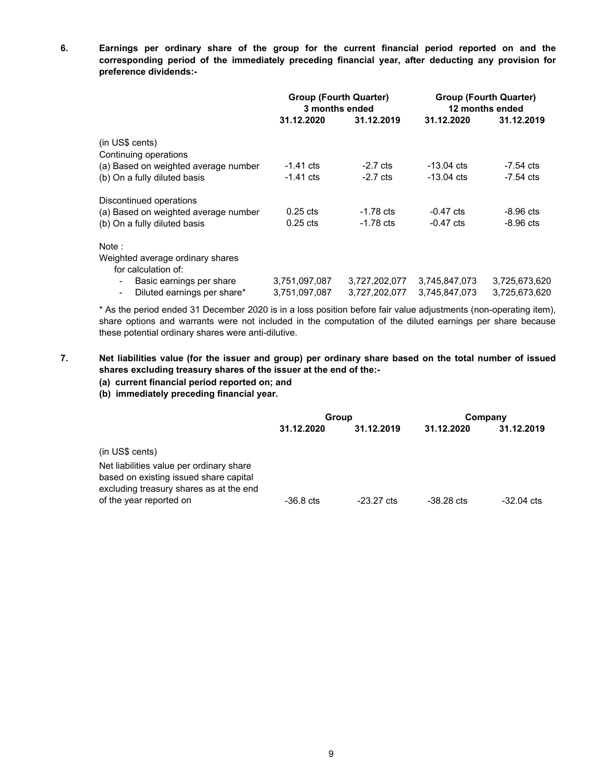**6. Earnings per ordinary share of the group for the current financial period reported on and the corresponding period of the immediately preceding financial year, after deducting any provision for preference dividends:-**

|                                               | <b>Group (Fourth Quarter)</b><br>3 months ended |                    |               | <b>Group (Fourth Quarter)</b><br>12 months ended |
|-----------------------------------------------|-------------------------------------------------|--------------------|---------------|--------------------------------------------------|
|                                               | 31.12.2020                                      | 31.12.2019         | 31.12.2020    | 31.12.2019                                       |
| (in US\$ cents)                               |                                                 |                    |               |                                                  |
| Continuing operations                         |                                                 |                    |               |                                                  |
| (a) Based on weighted average number          | $-1.41$ cts                                     | $-2.7 \text{ cts}$ | $-13.04$ cts  | -7.54 cts                                        |
| (b) On a fully diluted basis                  | $-1.41$ cts                                     | $-2.7 \text{ cts}$ | $-13.04$ cts  | $-7.54$ cts                                      |
| Discontinued operations                       |                                                 |                    |               |                                                  |
| (a) Based on weighted average number          | $0.25$ cts                                      | $-1.78$ cts        | $-0.47$ cts   | $-8.96$ cts                                      |
| (b) On a fully diluted basis                  | $0.25$ cts                                      | $-1.78$ cts        | $-0.47$ cts   | $-8.96$ cts                                      |
| Note:                                         |                                                 |                    |               |                                                  |
| Weighted average ordinary shares              |                                                 |                    |               |                                                  |
| for calculation of:                           |                                                 |                    |               |                                                  |
| Basic earnings per share<br>$\blacksquare$    | 3,751,097,087                                   | 3,727,202,077      | 3,745,847,073 | 3,725,673,620                                    |
| Diluted earnings per share*<br>$\blacksquare$ | 3,751,097,087                                   | 3,727,202,077      | 3,745,847,073 | 3.725.673.620                                    |

\* As the period ended 31 December 2020 is in a loss position before fair value adjustments (non-operating item), share options and warrants were not included in the computation of the diluted earnings per share because these potential ordinary shares were anti-dilutive.

#### **7. Net liabilities value (for the issuer and group) per ordinary share based on the total number of issued shares excluding treasury shares of the issuer at the end of the:-**

- **(a) current financial period reported on; and**
- **(b) immediately preceding financial year.**

|                                                                                                                               | Group       |                      | Company      |                      |
|-------------------------------------------------------------------------------------------------------------------------------|-------------|----------------------|--------------|----------------------|
|                                                                                                                               | 31.12.2020  | 31.12.2019           | 31.12.2020   | 31.12.2019           |
| (in US\$ cents)                                                                                                               |             |                      |              |                      |
| Net liabilities value per ordinary share<br>based on existing issued share capital<br>excluding treasury shares as at the end |             |                      |              |                      |
| of the year reported on                                                                                                       | $-36.8$ cts | $-23.27 \text{ cts}$ | $-38.28$ cts | $-32.04 \text{ cts}$ |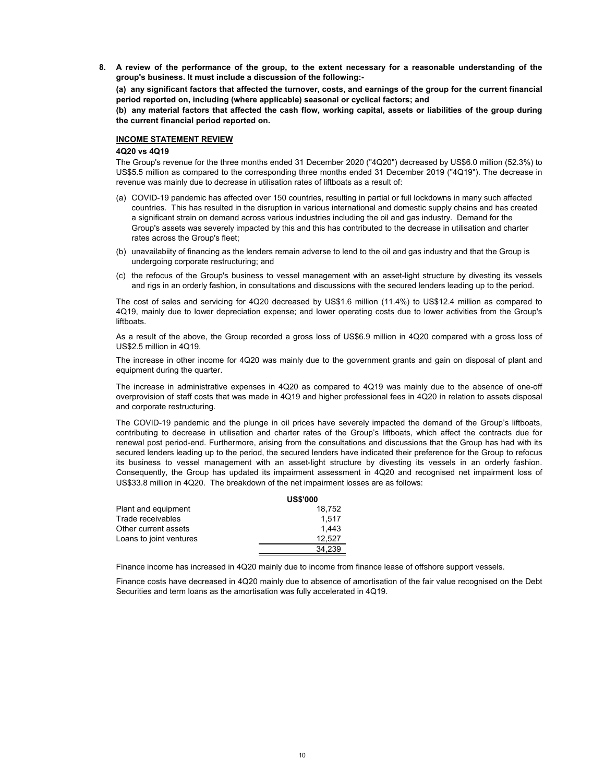**8. A review of the performance of the group, to the extent necessary for a reasonable understanding of the group's business. It must include a discussion of the following:-** 

**(a) any significant factors that affected the turnover, costs, and earnings of the group for the current financial period reported on, including (where applicable) seasonal or cyclical factors; and**

**(b) any material factors that affected the cash flow, working capital, assets or liabilities of the group during the current financial period reported on.**

# **INCOME STATEMENT REVIEW**

# **4Q20 vs 4Q19**

The Group's revenue for the three months ended 31 December 2020 ("4Q20") decreased by US\$6.0 million (52.3%) to US\$5.5 million as compared to the corresponding three months ended 31 December 2019 ("4Q19"). The decrease in revenue was mainly due to decrease in utilisation rates of liftboats as a result of:

- (a) COVID-19 pandemic has affected over 150 countries, resulting in partial or full lockdowns in many such affected countries. This has resulted in the disruption in various international and domestic supply chains and has created a significant strain on demand across various industries including the oil and gas industry. Demand for the Group's assets was severely impacted by this and this has contributed to the decrease in utilisation and charter rates across the Group's fleet;
- (b) unavailabiity of financing as the lenders remain adverse to lend to the oil and gas industry and that the Group is undergoing corporate restructuring; and
- (c) the refocus of the Group's business to vessel management with an asset-light structure by divesting its vessels and rigs in an orderly fashion, in consultations and discussions with the secured lenders leading up to the period.

The cost of sales and servicing for 4Q20 decreased by US\$1.6 million (11.4%) to US\$12.4 million as compared to 4Q19, mainly due to lower depreciation expense; and lower operating costs due to lower activities from the Group's liftboats.

As a result of the above, the Group recorded a gross loss of US\$6.9 million in 4Q20 compared with a gross loss of US\$2.5 million in 4Q19.

The increase in other income for 4Q20 was mainly due to the government grants and gain on disposal of plant and equipment during the quarter.

The increase in administrative expenses in 4Q20 as compared to 4Q19 was mainly due to the absence of one-off overprovision of staff costs that was made in 4Q19 and higher professional fees in 4Q20 in relation to assets disposal and corporate restructuring.

The COVID-19 pandemic and the plunge in oil prices have severely impacted the demand of the Group's liftboats, contributing to decrease in utilisation and charter rates of the Group's liftboats, which affect the contracts due for renewal post period-end. Furthermore, arising from the consultations and discussions that the Group has had with its secured lenders leading up to the period, the secured lenders have indicated their preference for the Group to refocus its business to vessel management with an asset-light structure by divesting its vessels in an orderly fashion. Consequently, the Group has updated its impairment assessment in 4Q20 and recognised net impairment loss of US\$33.8 million in 4Q20. The breakdown of the net impairment losses are as follows:

|                         | <b>US\$'000</b> |  |
|-------------------------|-----------------|--|
| Plant and equipment     | 18.752          |  |
| Trade receivables       | 1.517           |  |
| Other current assets    | 1.443           |  |
| Loans to joint ventures | 12.527          |  |
|                         | 34.239          |  |

Finance income has increased in 4Q20 mainly due to income from finance lease of offshore support vessels.

Finance costs have decreased in 4Q20 mainly due to absence of amortisation of the fair value recognised on the Debt Securities and term loans as the amortisation was fully accelerated in 4Q19.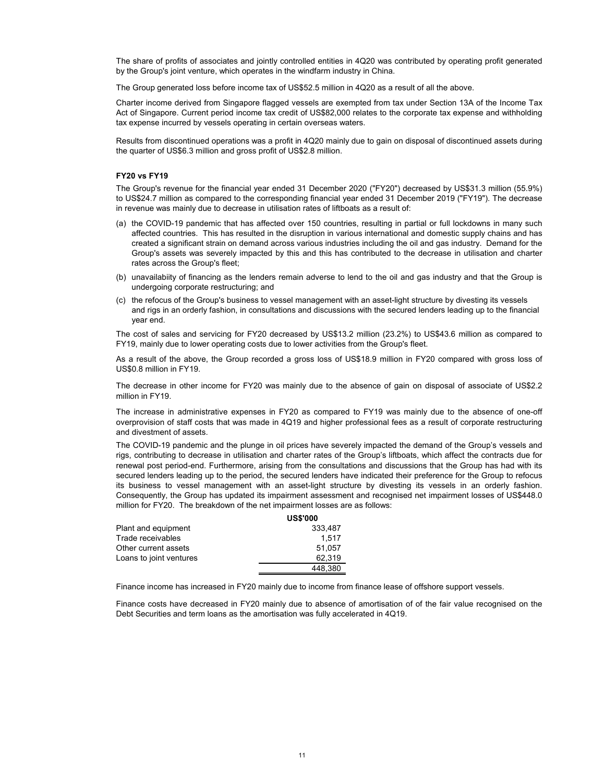The share of profits of associates and jointly controlled entities in 4Q20 was contributed by operating profit generated by the Group's joint venture, which operates in the windfarm industry in China.

The Group generated loss before income tax of US\$52.5 million in 4Q20 as a result of all the above.

Charter income derived from Singapore flagged vessels are exempted from tax under Section 13A of the Income Tax Act of Singapore. Current period income tax credit of US\$82,000 relates to the corporate tax expense and withholding tax expense incurred by vessels operating in certain overseas waters.

Results from discontinued operations was a profit in 4Q20 mainly due to gain on disposal of discontinued assets during the quarter of US\$6.3 million and gross profit of US\$2.8 million.

# **FY20 vs FY19**

The Group's revenue for the financial year ended 31 December 2020 ("FY20") decreased by US\$31.3 million (55.9%) to US\$24.7 million as compared to the corresponding financial year ended 31 December 2019 ("FY19"). The decrease in revenue was mainly due to decrease in utilisation rates of liftboats as a result of:

- (a) the COVID-19 pandemic that has affected over 150 countries, resulting in partial or full lockdowns in many such affected countries. This has resulted in the disruption in various international and domestic supply chains and has created a significant strain on demand across various industries including the oil and gas industry. Demand for the Group's assets was severely impacted by this and this has contributed to the decrease in utilisation and charter rates across the Group's fleet;
- (b) unavailabiity of financing as the lenders remain adverse to lend to the oil and gas industry and that the Group is undergoing corporate restructuring; and
- (c) the refocus of the Group's business to vessel management with an asset-light structure by divesting its vessels and rigs in an orderly fashion, in consultations and discussions with the secured lenders leading up to the financial year end.

The cost of sales and servicing for FY20 decreased by US\$13.2 million (23.2%) to US\$43.6 million as compared to FY19, mainly due to lower operating costs due to lower activities from the Group's fleet.

As a result of the above, the Group recorded a gross loss of US\$18.9 million in FY20 compared with gross loss of US\$0.8 million in FY19.

The decrease in other income for FY20 was mainly due to the absence of gain on disposal of associate of US\$2.2 million in FY19.

The increase in administrative expenses in FY20 as compared to FY19 was mainly due to the absence of one-off overprovision of staff costs that was made in 4Q19 and higher professional fees as a result of corporate restructuring and divestment of assets.

The COVID-19 pandemic and the plunge in oil prices have severely impacted the demand of the Group's vessels and rigs, contributing to decrease in utilisation and charter rates of the Group's liftboats, which affect the contracts due for renewal post period-end. Furthermore, arising from the consultations and discussions that the Group has had with its secured lenders leading up to the period, the secured lenders have indicated their preference for the Group to refocus its business to vessel management with an asset-light structure by divesting its vessels in an orderly fashion. Consequently, the Group has updated its impairment assessment and recognised net impairment losses of US\$448.0 million for FY20. The breakdown of the net impairment losses are as follows:

|                         | <b>US\$'000</b> |
|-------------------------|-----------------|
| Plant and equipment     | 333.487         |
| Trade receivables       | 1.517           |
| Other current assets    | 51.057          |
| Loans to joint ventures | 62.319          |
|                         | 448,380         |

Finance income has increased in FY20 mainly due to income from finance lease of offshore support vessels.

Finance costs have decreased in FY20 mainly due to absence of amortisation of of the fair value recognised on the Debt Securities and term loans as the amortisation was fully accelerated in 4Q19.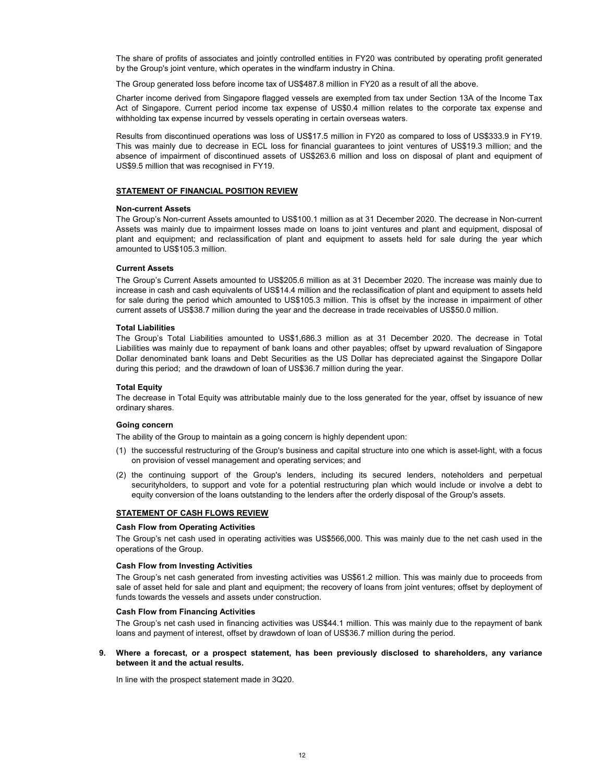The share of profits of associates and jointly controlled entities in FY20 was contributed by operating profit generated by the Group's joint venture, which operates in the windfarm industry in China.

The Group generated loss before income tax of US\$487.8 million in FY20 as a result of all the above.

Charter income derived from Singapore flagged vessels are exempted from tax under Section 13A of the Income Tax Act of Singapore. Current period income tax expense of US\$0.4 million relates to the corporate tax expense and withholding tax expense incurred by vessels operating in certain overseas waters.

Results from discontinued operations was loss of US\$17.5 million in FY20 as compared to loss of US\$333.9 in FY19. This was mainly due to decrease in ECL loss for financial guarantees to joint ventures of US\$19.3 million; and the absence of impairment of discontinued assets of US\$263.6 million and loss on disposal of plant and equipment of US\$9.5 million that was recognised in FY19.

### **STATEMENT OF FINANCIAL POSITION REVIEW**

### **Non-current Assets**

The Group's Non-current Assets amounted to US\$100.1 million as at 31 December 2020. The decrease in Non-current Assets was mainly due to impairment losses made on loans to joint ventures and plant and equipment, disposal of plant and equipment; and reclassification of plant and equipment to assets held for sale during the year which amounted to US\$105.3 million.

# **Current Assets**

The Group's Current Assets amounted to US\$205.6 million as at 31 December 2020. The increase was mainly due to increase in cash and cash equivalents of US\$14.4 million and the reclassification of plant and equipment to assets held for sale during the period which amounted to US\$105.3 million. This is offset by the increase in impairment of other current assets of US\$38.7 million during the year and the decrease in trade receivables of US\$50.0 million.

# **Total Liabilities**

The Group's Total Liabilities amounted to US\$1,686.3 million as at 31 December 2020. The decrease in Total Liabilities was mainly due to repayment of bank loans and other payables; offset by upward revaluation of Singapore Dollar denominated bank loans and Debt Securities as the US Dollar has depreciated against the Singapore Dollar during this period; and the drawdown of loan of US\$36.7 million during the year.

# **Total Equity**

The decrease in Total Equity was attributable mainly due to the loss generated for the year, offset by issuance of new ordinary shares.

# **Going concern**

The ability of the Group to maintain as a going concern is highly dependent upon:

- (1) the successful restructuring of the Group's business and capital structure into one which is asset-light, with a focus on provision of vessel management and operating services; and
- (2) the continuing support of the Group's lenders, including its secured lenders, noteholders and perpetual securityholders, to support and vote for a potential restructuring plan which would include or involve a debt to equity conversion of the loans outstanding to the lenders after the orderly disposal of the Group's assets.

# **STATEMENT OF CASH FLOWS REVIEW**

### **Cash Flow from Operating Activities**

The Group's net cash used in operating activities was US\$566,000. This was mainly due to the net cash used in the operations of the Group.

### **Cash Flow from Investing Activities**

The Group's net cash generated from investing activities was US\$61.2 million. This was mainly due to proceeds from sale of asset held for sale and plant and equipment; the recovery of loans from joint ventures; offset by deployment of funds towards the vessels and assets under construction.

### **Cash Flow from Financing Activities**

The Group's net cash used in financing activities was US\$44.1 million. This was mainly due to the repayment of bank loans and payment of interest, offset by drawdown of loan of US\$36.7 million during the period.

# **9. Where a forecast, or a prospect statement, has been previously disclosed to shareholders, any variance between it and the actual results.**

In line with the prospect statement made in 3Q20.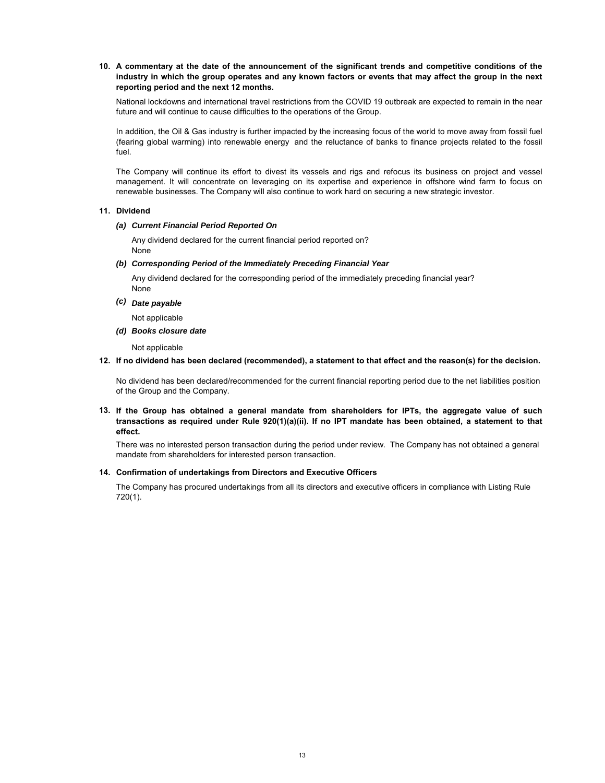# **10. A commentary at the date of the announcement of the significant trends and competitive conditions of the industry in which the group operates and any known factors or events that may affect the group in the next reporting period and the next 12 months.**

National lockdowns and international travel restrictions from the COVID 19 outbreak are expected to remain in the near future and will continue to cause difficulties to the operations of the Group.

In addition, the Oil & Gas industry is further impacted by the increasing focus of the world to move away from fossil fuel (fearing global warming) into renewable energy and the reluctance of banks to finance projects related to the fossil fuel.

The Company will continue its effort to divest its vessels and rigs and refocus its business on project and vessel management. It will concentrate on leveraging on its expertise and experience in offshore wind farm to focus on renewable businesses. The Company will also continue to work hard on securing a new strategic investor.

# **11. Dividend**

# *(a) Current Financial Period Reported On*

Any dividend declared for the current financial period reported on? None

# *(b) Corresponding Period of the Immediately Preceding Financial Year*

None Any dividend declared for the corresponding period of the immediately preceding financial year?

*(c) Date payable*

Not applicable

*(d) Books closure date*

Not applicable

# **12. If no dividend has been declared (recommended), a statement to that effect and the reason(s) for the decision.**

No dividend has been declared/recommended for the current financial reporting period due to the net liabilities position of the Group and the Company.

# **13. If the Group has obtained a general mandate from shareholders for IPTs, the aggregate value of such transactions as required under Rule 920(1)(a)(ii). If no IPT mandate has been obtained, a statement to that effect.**

There was no interested person transaction during the period under review. The Company has not obtained a general mandate from shareholders for interested person transaction.

# **14. Confirmation of undertakings from Directors and Executive Officers**

The Company has procured undertakings from all its directors and executive officers in compliance with Listing Rule 720(1).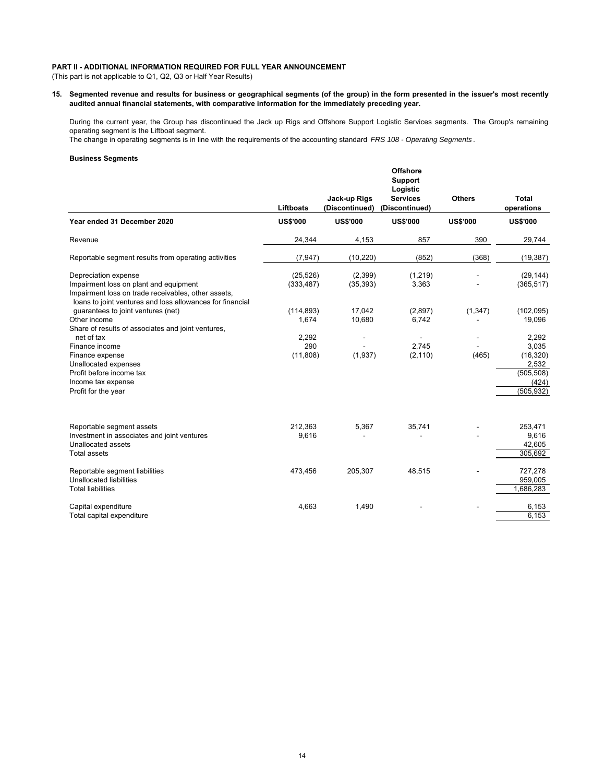# **PART II - ADDITIONAL INFORMATION REQUIRED FOR FULL YEAR ANNOUNCEMENT**

(This part is not applicable to Q1, Q2, Q3 or Half Year Results)

**15. Segmented revenue and results for business or geographical segments (of the group) in the form presented in the issuer's most recently audited annual financial statements, with comparative information for the immediately preceding year.**

During the current year, the Group has discontinued the Jack up Rigs and Offshore Support Logistic Services segments. The Group's remaining operating segment is the Liftboat segment.

The change in operating segments is in line with the requirements of the accounting standard *FRS 108 - Operating Segments* .

# **Business Segments**

|                                                                                                                                                                                    | <b>Liftboats</b>         | Jack-up Rigs<br>(Discontinued) | <b>Offshore</b><br>Support<br>Logistic<br><b>Services</b><br>(Discontinued) | <b>Others</b>   | <b>Total</b><br>operations                                                |
|------------------------------------------------------------------------------------------------------------------------------------------------------------------------------------|--------------------------|--------------------------------|-----------------------------------------------------------------------------|-----------------|---------------------------------------------------------------------------|
| Year ended 31 December 2020                                                                                                                                                        | <b>US\$'000</b>          | <b>US\$'000</b>                | <b>US\$'000</b>                                                             | <b>US\$'000</b> | <b>US\$'000</b>                                                           |
| Revenue                                                                                                                                                                            | 24,344                   | 4,153                          | 857                                                                         | 390             | 29,744                                                                    |
| Reportable segment results from operating activities                                                                                                                               | (7, 947)                 | (10, 220)                      | (852)                                                                       | (368)           | (19, 387)                                                                 |
| Depreciation expense<br>Impairment loss on plant and equipment<br>Impairment loss on trade receivables, other assets,<br>loans to joint ventures and loss allowances for financial | (25, 526)<br>(333, 487)  | (2,399)<br>(35, 393)           | (1, 219)<br>3,363                                                           |                 | (29, 144)<br>(365, 517)                                                   |
| guarantees to joint ventures (net)<br>Other income<br>Share of results of associates and joint ventures,                                                                           | (114, 893)<br>1,674      | 17,042<br>10,680               | (2,897)<br>6,742                                                            | (1, 347)        | (102, 095)<br>19,096                                                      |
| net of tax<br>Finance income<br>Finance expense<br>Unallocated expenses<br>Profit before income tax<br>Income tax expense<br>Profit for the year                                   | 2,292<br>290<br>(11,808) | (1,937)                        | 2.745<br>(2, 110)                                                           | (465)           | 2,292<br>3,035<br>(16, 320)<br>2,532<br>(505, 508)<br>(424)<br>(505, 932) |
| Reportable segment assets<br>Investment in associates and joint ventures<br>Unallocated assets<br><b>Total assets</b>                                                              | 212,363<br>9,616         | 5,367                          | 35,741                                                                      |                 | 253,471<br>9,616<br>42,605<br>305,692                                     |
| Reportable segment liabilities<br>Unallocated liabilities<br><b>Total liabilities</b>                                                                                              | 473,456                  | 205,307                        | 48,515                                                                      |                 | 727,278<br>959,005<br>1,686,283                                           |
| Capital expenditure<br>Total capital expenditure                                                                                                                                   | 4,663                    | 1,490                          |                                                                             |                 | 6,153<br>6,153                                                            |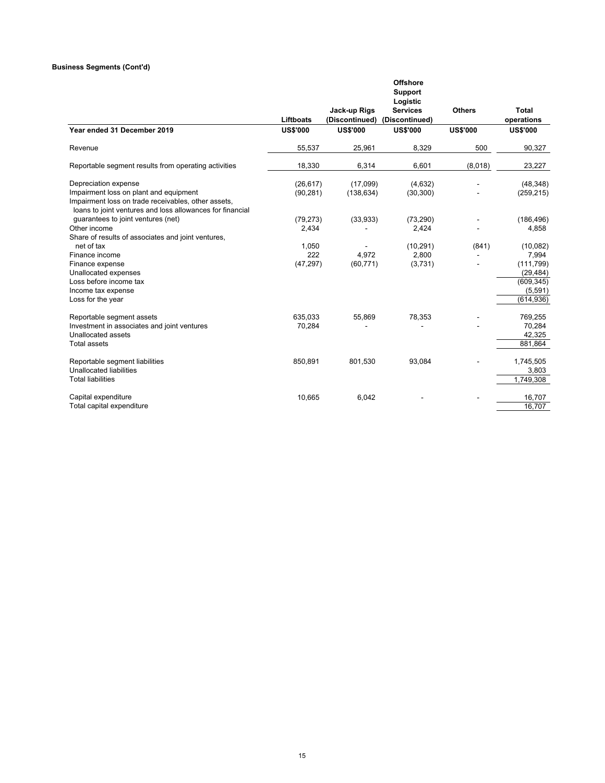# **Business Segments (Cont'd)**

|                                                                                                                                                            |                 | Jack-up Rigs    | <b>Offshore</b><br><b>Support</b><br>Logistic<br><b>Services</b> | <b>Others</b>   | Total           |
|------------------------------------------------------------------------------------------------------------------------------------------------------------|-----------------|-----------------|------------------------------------------------------------------|-----------------|-----------------|
|                                                                                                                                                            | Liftboats       | (Discontinued)  | (Discontinued)                                                   |                 | operations      |
| Year ended 31 December 2019                                                                                                                                | <b>US\$'000</b> | <b>US\$'000</b> | <b>US\$'000</b>                                                  | <b>US\$'000</b> | <b>US\$'000</b> |
| Revenue                                                                                                                                                    | 55,537          | 25,961          | 8,329                                                            | 500             | 90,327          |
| Reportable segment results from operating activities                                                                                                       | 18,330          | 6,314           | 6,601                                                            | (8,018)         | 23,227          |
| Depreciation expense                                                                                                                                       | (26, 617)       | (17,099)        | (4,632)                                                          |                 | (48, 348)       |
| Impairment loss on plant and equipment<br>Impairment loss on trade receivables, other assets,<br>loans to joint ventures and loss allowances for financial | (90, 281)       | (138, 634)      | (30, 300)                                                        |                 | (259, 215)      |
| guarantees to joint ventures (net)                                                                                                                         | (79, 273)       | (33,933)        | (73, 290)                                                        |                 | (186, 496)      |
| Other income                                                                                                                                               | 2,434           |                 | 2,424                                                            |                 | 4,858           |
| Share of results of associates and joint ventures,                                                                                                         |                 |                 |                                                                  |                 |                 |
| net of tax                                                                                                                                                 | 1,050           |                 | (10, 291)                                                        | (841)           | (10,082)        |
| Finance income                                                                                                                                             | 222             | 4.972           | 2,800                                                            |                 | 7,994           |
| Finance expense                                                                                                                                            | (47, 297)       | (60, 771)       | (3,731)                                                          |                 | (111, 799)      |
| Unallocated expenses                                                                                                                                       |                 |                 |                                                                  |                 | (29, 484)       |
| Loss before income tax                                                                                                                                     |                 |                 |                                                                  |                 | (609, 345)      |
| Income tax expense                                                                                                                                         |                 |                 |                                                                  |                 | (5, 591)        |
| Loss for the year                                                                                                                                          |                 |                 |                                                                  |                 | (614, 936)      |
| Reportable segment assets                                                                                                                                  | 635.033         | 55,869          | 78,353                                                           |                 | 769,255         |
| Investment in associates and joint ventures                                                                                                                | 70,284          |                 |                                                                  |                 | 70,284          |
| Unallocated assets                                                                                                                                         |                 |                 |                                                                  |                 | 42,325          |
| <b>Total assets</b>                                                                                                                                        |                 |                 |                                                                  |                 | 881,864         |
| Reportable segment liabilities                                                                                                                             | 850,891         | 801,530         | 93,084                                                           |                 | 1,745,505       |
| Unallocated liabilities                                                                                                                                    |                 |                 |                                                                  |                 | 3,803           |
| <b>Total liabilities</b>                                                                                                                                   |                 |                 |                                                                  |                 | 1,749,308       |
| Capital expenditure                                                                                                                                        | 10,665          | 6,042           |                                                                  |                 | 16,707          |
| Total capital expenditure                                                                                                                                  |                 |                 |                                                                  |                 | 16,707          |